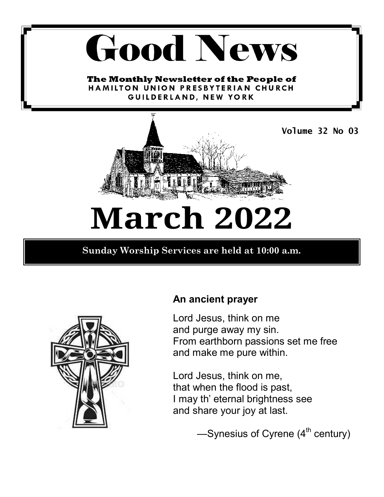## **Good News**

The Monthly Newsletter of the People of HAMILTON UNION PRESBYTERIAN CHURCH GUILDERLAND, NEW YORK



## **March 2022**

**Sunday Worship Services are held at 10:00 a.m.** 



#### **An ancient prayer**

Lord Jesus, think on me and purge away my sin. From earthborn passions set me free and make me pure within.

Lord Jesus, think on me, that when the flood is past, I may th' eternal brightness see and share your joy at last.

 $-$ Synesius of Cyrene ( $4<sup>th</sup>$  century)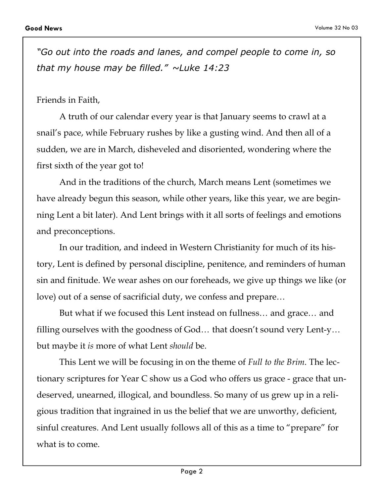*"Go out into the roads and lanes, and compel people to come in, so that my house may be filled." ~Luke 14:23* 

#### Friends in Faith,

A truth of our calendar every year is that January seems to crawl at a snail's pace, while February rushes by like a gusting wind. And then all of a sudden, we are in March, disheveled and disoriented, wondering where the first sixth of the year got to!

And in the traditions of the church, March means Lent (sometimes we have already begun this season, while other years, like this year, we are beginning Lent a bit later). And Lent brings with it all sorts of feelings and emotions and preconceptions.

In our tradition, and indeed in Western Christianity for much of its history, Lent is defined by personal discipline, penitence, and reminders of human sin and finitude. We wear ashes on our foreheads, we give up things we like (or love) out of a sense of sacrificial duty, we confess and prepare…

But what if we focused this Lent instead on fullness… and grace… and filling ourselves with the goodness of God… that doesn't sound very Lent-y… but maybe it *is* more of what Lent *should* be.

This Lent we will be focusing in on the theme of *Full to the Brim*. The lectionary scriptures for Year C show us a God who offers us grace - grace that undeserved, unearned, illogical, and boundless. So many of us grew up in a religious tradition that ingrained in us the belief that we are unworthy, deficient, sinful creatures. And Lent usually follows all of this as a time to "prepare" for what is to come.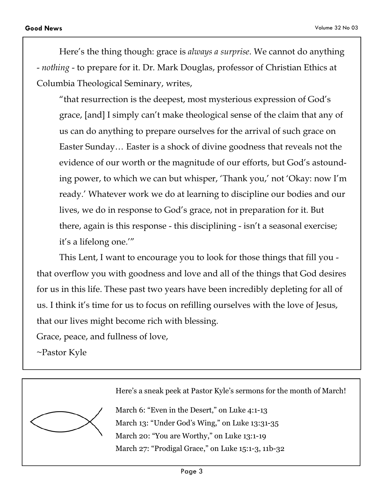Here's the thing though: grace is *always a surprise*. We cannot do anything - *nothing* - to prepare for it. Dr. Mark Douglas, professor of Christian Ethics at Columbia Theological Seminary, writes,

"that resurrection is the deepest, most mysterious expression of God's grace, [and] I simply can't make theological sense of the claim that any of us can do anything to prepare ourselves for the arrival of such grace on Easter Sunday… Easter is a shock of divine goodness that reveals not the evidence of our worth or the magnitude of our efforts, but God's astounding power, to which we can but whisper, 'Thank you,' not 'Okay: now I'm ready.' Whatever work we do at learning to discipline our bodies and our lives, we do in response to God's grace, not in preparation for it. But there, again is this response - this disciplining - isn't a seasonal exercise; it's a lifelong one.'"

This Lent, I want to encourage you to look for those things that fill you that overflow you with goodness and love and all of the things that God desires for us in this life. These past two years have been incredibly depleting for all of us. I think it's time for us to focus on refilling ourselves with the love of Jesus, that our lives might become rich with blessing.

Grace, peace, and fullness of love,

~Pastor Kyle

Here's a sneak peek at Pastor Kyle's sermons for the month of March!

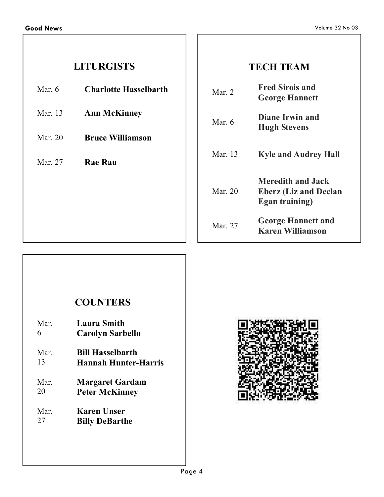#### **LITURGISTS**

- Mar. 6 **Charlotte Hasselbarth**
- Mar. 13 **Ann McKinney**
- Mar. 20 **Bruce Williamson**
- Mar. 27 **Rae Rau**

#### **TECH TEAM**

| Mar. $2$  | <b>Fred Sirois and</b><br><b>George Hannett</b>                                    |
|-----------|------------------------------------------------------------------------------------|
| Mar 6     | <b>Diane Irwin and</b><br><b>Hugh Stevens</b>                                      |
| Mar $13$  | <b>Kyle and Audrey Hall</b>                                                        |
| Mar. $20$ | <b>Meredith and Jack</b><br><b>Eberz (Liz and Declan</b><br><b>Egan training</b> ) |
| Mar. $27$ | <b>George Hannett and</b><br><b>Karen Williamson</b>                               |

#### **COUNTERS**

| Mar. | <b>Laura Smith</b>          |
|------|-----------------------------|
| 6    | <b>Carolyn Sarbello</b>     |
| Mar. | <b>Bill Hasselbarth</b>     |
| 13   | <b>Hannah Hunter-Harris</b> |
| Mar. | <b>Margaret Gardam</b>      |
| 20   | <b>Peter McKinney</b>       |
| Mar. | Karen Unser                 |
| 27   | <b>Billy DeBarthe</b>       |

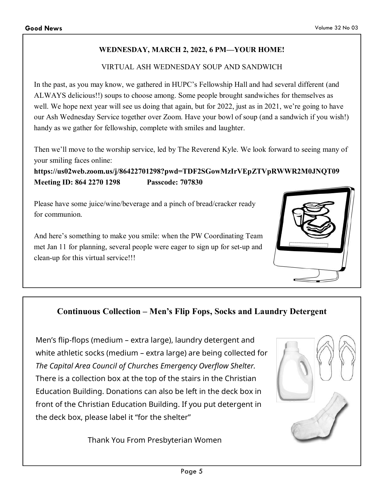#### **WEDNESDAY, MARCH 2, 2022, 6 PM—YOUR HOME!**

#### VIRTUAL ASH WEDNESDAY SOUP AND SANDWICH

In the past, as you may know, we gathered in HUPC's Fellowship Hall and had several different (and ALWAYS delicious!!) soups to choose among. Some people brought sandwiches for themselves as well. We hope next year will see us doing that again, but for 2022, just as in 2021, we're going to have our Ash Wednesday Service together over Zoom. Have your bowl of soup (and a sandwich if you wish!) handy as we gather for fellowship, complete with smiles and laughter.

Then we'll move to the worship service, led by The Reverend Kyle. We look forward to seeing many of your smiling faces online:

**https://us02web.zoom.us/j/86422701298?pwd=TDF2SGowMzIrVEpZTVpRWWR2M0JNQT09 Meeting ID: 864 2270 1298 Passcode: 707830** 

Please have some juice/wine/beverage and a pinch of bread/cracker ready for communion.

And here's something to make you smile: when the PW Coordinating Team met Jan 11 for planning, several people were eager to sign up for set-up and clean-up for this virtual service!!!



#### **Continuous Collection – Men's Flip Fops, Socks and Laundry Detergent**

Men's flip-flops (medium – extra large), laundry detergent and white athletic socks (medium – extra large) are being collected for *The Capital Area Council of Churches Emergency Overflow Shelter.*  There is a collection box at the top of the stairs in the Christian Education Building. Donations can also be left in the deck box in front of the Christian Education Building. If you put detergent in the deck box, please label it "for the shelter"

Thank You From Presbyterian Women

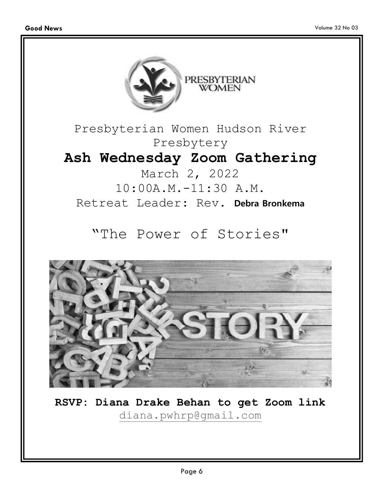



**RSVP: Diana Drake Behan to get Zoom link**  diana.pwhrp@gmail.com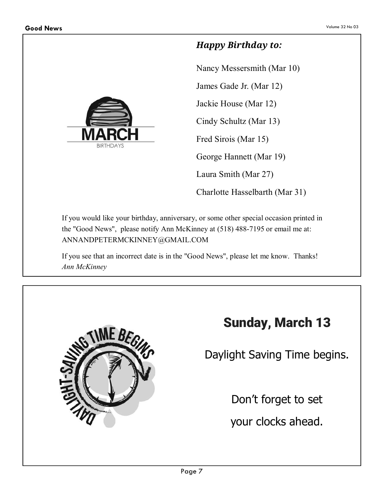

#### *Happy Birthday to:*

Nancy Messersmith (Mar 10) James Gade Jr. (Mar 12) Jackie House (Mar 12) Cindy Schultz (Mar 13) Fred Sirois (Mar 15) George Hannett (Mar 19) Laura Smith (Mar 27) Charlotte Hasselbarth (Mar 31)

If you would like your birthday, anniversary, or some other special occasion printed in the "Good News", please notify Ann McKinney at (518) 488-7195 or email me at: ANNANDPETERMCKINNEY@GMAIL.COM

If you see that an incorrect date is in the "Good News", please let me know. Thanks! *Ann McKinney*



#### **Sunday, March 13**

Daylight Saving Time begins.

Don't forget to set

your clocks ahead.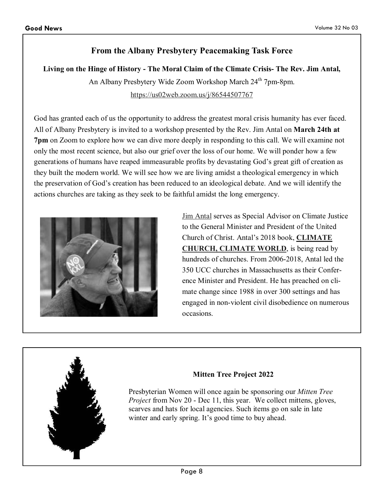#### **From the Albany Presbytery Peacemaking Task Force**

**Living on the Hinge of History - The Moral Claim of the Climate Crisis- The Rev. Jim Antal,** 

An Albany Presbytery Wide Zoom Workshop March 24<sup>th</sup> 7pm-8pm. https://us02web.zoom.us/j/86544507767

God has granted each of us the opportunity to address the greatest moral crisis humanity has ever faced. All of Albany Presbytery is invited to a workshop presented by the Rev. Jim Antal on **March 24th at 7pm** on Zoom to explore how we can dive more deeply in responding to this call. We will examine not only the most recent science, but also our grief over the loss of our home. We will ponder how a few generations of humans have reaped immeasurable profits by devastating God's great gift of creation as they built the modern world. We will see how we are living amidst a theological emergency in which the preservation of God's creation has been reduced to an ideological debate. And we will identify the actions churches are taking as they seek to be faithful amidst the long emergency.



Jim Antal serves as Special Advisor on Climate Justice to the General Minister and President of the United Church of Christ. Antal's 2018 book, **CLIMATE CHURCH, CLIMATE WORLD**, is being read by hundreds of churches. From 2006-2018, Antal led the 350 UCC churches in Massachusetts as their Conference Minister and President. He has preached on climate change since 1988 in over 300 settings and has engaged in non-violent civil disobedience on numerous occasions.



#### **Mitten Tree Project 2022**

Presbyterian Women will once again be sponsoring our *Mitten Tree Project* from Nov 20 - Dec 11, this year. We collect mittens, gloves, scarves and hats for local agencies. Such items go on sale in late winter and early spring. It's good time to buy ahead.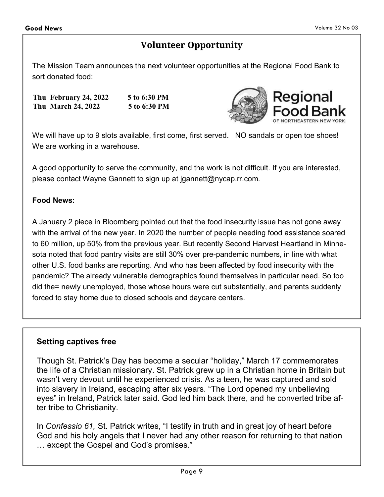#### **Volunteer Opportunity**

The Mission Team announces the next volunteer opportunities at the Regional Food Bank to sort donated food:

**Thu February 24, 2022 5 to 6:30 PM Thu March 24, 2022 5 to 6:30 PM** 



We will have up to 9 slots available, first come, first served. NO sandals or open toe shoes! We are working in a warehouse.

A good opportunity to serve the community, and the work is not difficult. If you are interested, please contact Wayne Gannett to sign up at jgannett@nycap.rr.com.

#### **Food News:**

A January 2 piece in Bloomberg pointed out that the food insecurity issue has not gone away with the arrival of the new year. In 2020 the number of people needing food assistance soared to 60 million, up 50% from the previous year. But recently Second Harvest Heartland in Minnesota noted that food pantry visits are still 30% over pre-pandemic numbers, in line with what other U.S. food banks are reporting. And who has been affected by food insecurity with the pandemic? The already vulnerable demographics found themselves in particular need. So too did the= newly unemployed, those whose hours were cut substantially, and parents suddenly forced to stay home due to closed schools and daycare centers.

#### **Setting captives free**

Though St. Patrick's Day has become a secular "holiday," March 17 commemorates the life of a Christian missionary. St. Patrick grew up in a Christian home in Britain but wasn't very devout until he experienced crisis. As a teen, he was captured and sold into slavery in Ireland, escaping after six years. "The Lord opened my unbelieving eyes" in Ireland, Patrick later said. God led him back there, and he converted tribe after tribe to Christianity.

In *Confessio 61,* St. Patrick writes, "I testify in truth and in great joy of heart before God and his holy angels that I never had any other reason for returning to that nation ... except the Gospel and God's promises."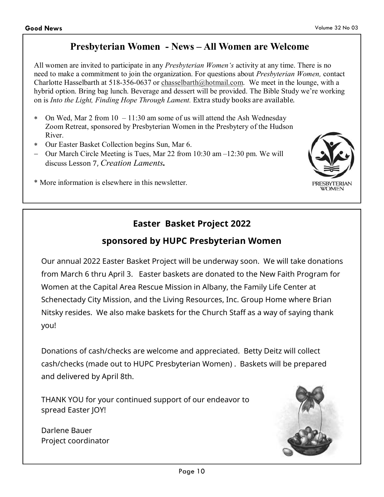#### **Presbyterian Women - News – All Women are Welcome**

All women are invited to participate in any *Presbyterian Women's* activity at any time. There is no need to make a commitment to join the organization. For questions about *Presbyterian Women,* contact Charlotte Hasselbarth at 518-356-0637 or chasselbarth@hotmail.com. We meet in the lounge, with a hybrid option. Bring bag lunch. Beverage and dessert will be provided. The Bible Study we're working on is *Into the Light, Finding Hope Through Lament.* Extra study books are available.

- On Wed, Mar 2 from  $10 11:30$  am some of us will attend the Ash Wednesday Zoom Retreat, sponsored by Presbyterian Women in the Presbytery of the Hudson River.
- ∗ Our Easter Basket Collection begins Sun, Mar 6.
- − Our March Circle Meeting is Tues, Mar 22 from 10:30 am –12:30 pm. We will discuss Lesson 7, *Creation Laments.*
- \* More information is elsewhere in this newsletter.

#### **Easter Basket Project 2022**

#### **sponsored by HUPC Presbyterian Women**

Our annual 2022 Easter Basket Project will be underway soon. We will take donations from March 6 thru April 3. Easter baskets are donated to the New Faith Program for Women at the Capital Area Rescue Mission in Albany, the Family Life Center at Schenectady City Mission, and the Living Resources, Inc. Group Home where Brian Nitsky resides. We also make baskets for the Church Staff as a way of saying thank you!

Donations of cash/checks are welcome and appreciated. Betty Deitz will collect cash/checks (made out to HUPC Presbyterian Women) . Baskets will be prepared and delivered by April 8th.

THANK YOU for your continued support of our endeavor to spread Easter JOY!

Darlene Bauer Project coordinator



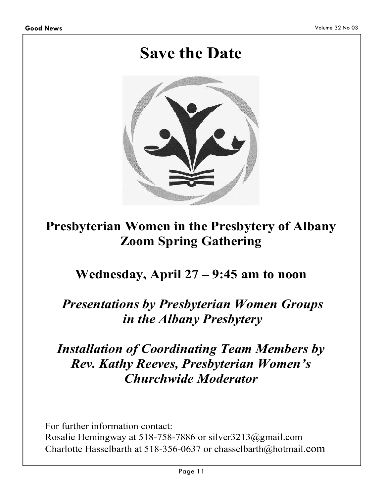### **Save the Date**



#### **Presbyterian Women in the Presbytery of Albany Zoom Spring Gathering**

#### **Wednesday, April 27 – 9:45 am to noon**

#### *Presentations by Presbyterian Women Groups in the Albany Presbytery*

#### *Installation of Coordinating Team Members by Rev. Kathy Reeves, Presbyterian Women's Churchwide Moderator*

For further information contact: Rosalie Hemingway at 518-758-7886 or silver3213@gmail.com Charlotte Hasselbarth at 518-356-0637 or chasselbarth@hotmail.com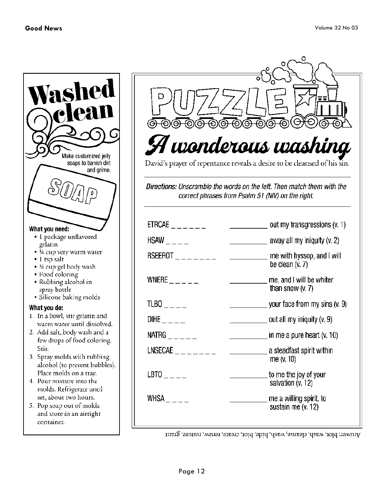



| $ETRCAE$ _ _ _ _ _ _                                                                                                          | $\sim$ out my transgressions (v. 1)                         |
|-------------------------------------------------------------------------------------------------------------------------------|-------------------------------------------------------------|
| $HSAW$ $---$                                                                                                                  | $\sim$ away all my iniquity (v. 2)                          |
| $RSEEROT$ <sub>_______</sub>                                                                                                  | ___________ me with hyssop, and I will<br>be clean $(v. 7)$ |
| WNERE $\_$ $\_$ $\_$ $\_$ $\_$                                                                                                | me, and I will be whiter<br>than snow $(v. 7)$              |
| $TLBO$ <sub>---</sub>                                                                                                         | $\sim$ your face from my sins (v. 9)                        |
| $D\Pi$ he $\_$                                                                                                                | $\overline{\phantom{a}}$ out all my iniquity (v. 9)         |
| $NATRG$ _ _ _ _ _                                                                                                             | $\blacksquare$ in me a pure heart (v. 10)                   |
| $LNSECAE$ _ _ _ _ _ _ _                                                                                                       | a steadfast spirit within<br>me $(v. 10)$                   |
| $\mathsf{LBTO}\hspace{-0.05cm}\underline{\ \ }\hspace{0.1cm} \underline{\ \ }\hspace{0.1cm} \underline{\ \ }\hspace{0.1cm} }$ | to me the joy of your<br>salvation (v. 12)                  |
| WHSA $_{---}$                                                                                                                 | me a willing spirit, to<br>sustain me (v. 12)               |

Amswer: blot, wash, cleanse, wash, hide, blot, create, renew, restore, grant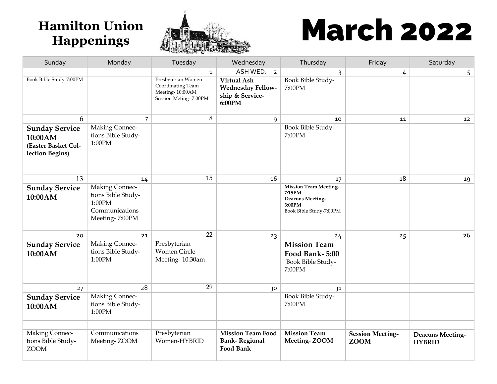

# Hamilton Union **March 2022**

| Sunday                                                                     | Monday                                                                                    | Tuesday                                                                               | Wednesday                                                                   | Thursday                                                                                        | Friday                                 | Saturday                                 |
|----------------------------------------------------------------------------|-------------------------------------------------------------------------------------------|---------------------------------------------------------------------------------------|-----------------------------------------------------------------------------|-------------------------------------------------------------------------------------------------|----------------------------------------|------------------------------------------|
|                                                                            |                                                                                           | $\mathbf{1}$                                                                          | ASH WED. 2                                                                  | $\mathsf{3}$                                                                                    | 4                                      | 5 <sup>1</sup>                           |
| Book Bible Study-7:00PM                                                    |                                                                                           | Presbyterian Women-<br>Coordinating Team<br>Meeting-10:00AM<br>Session Meting- 7:00PM | <b>Virtual Ash</b><br><b>Wednesday Fellow-</b><br>ship & Service-<br>6:00PM | Book Bible Study-<br>7:00PM                                                                     |                                        |                                          |
| 6                                                                          | $\overline{7}$                                                                            | $8\,$                                                                                 | 9                                                                           | 10                                                                                              | 11                                     | 12                                       |
| <b>Sunday Service</b><br>10:00AM<br>(Easter Basket Col-<br>lection Begins) | <b>Making Connec-</b><br>tions Bible Study-<br>$1:00\mathrm{PM}$                          |                                                                                       |                                                                             | Book Bible Study-<br>7:00PM                                                                     |                                        |                                          |
| 13                                                                         | 14                                                                                        | 15                                                                                    | 16                                                                          | 17                                                                                              | 18                                     | 19                                       |
| <b>Sunday Service</b><br>10:00AM                                           | <b>Making Connec-</b><br>tions Bible Study-<br>1:00PM<br>Communications<br>Meeting-7:00PM |                                                                                       |                                                                             | <b>Mission Team Meeting-</b><br>7:15PM<br>Deacons Meeting-<br>3:00PM<br>Book Bible Study-7:00PM |                                        |                                          |
| 20                                                                         | 21                                                                                        | 22                                                                                    | 23                                                                          | 24                                                                                              | 25                                     | 26                                       |
| <b>Sunday Service</b><br>10:00AM                                           | Making Connec-<br>tions Bible Study-<br>1:00PM                                            | Presbyterian<br><b>Women Circle</b><br>Meeting-10:30am                                |                                                                             | <b>Mission Team</b><br>Food Bank-5:00<br>Book Bible Study-<br>7:00PM                            |                                        |                                          |
| 27                                                                         | 28                                                                                        | 29                                                                                    | 30                                                                          | 31                                                                                              |                                        |                                          |
| <b>Sunday Service</b><br>10:00AM                                           | <b>Making Connec-</b><br>tions Bible Study-<br>$1:00\mathrm{PM}$                          |                                                                                       |                                                                             | Book Bible Study-<br>7:00PM                                                                     |                                        |                                          |
|                                                                            |                                                                                           |                                                                                       |                                                                             |                                                                                                 |                                        |                                          |
| <b>Making Connec-</b><br>tions Bible Study-<br><b>ZOOM</b>                 | Communications<br>Meeting-ZOOM                                                            | Presbyterian<br>Women-HYBRID                                                          | <b>Mission Team Food</b><br><b>Bank-Regional</b><br><b>Food Bank</b>        | <b>Mission Team</b><br>Meeting-ZOOM                                                             | <b>Session Meeting-</b><br><b>ZOOM</b> | <b>Deacons Meeting-</b><br><b>HYBRID</b> |